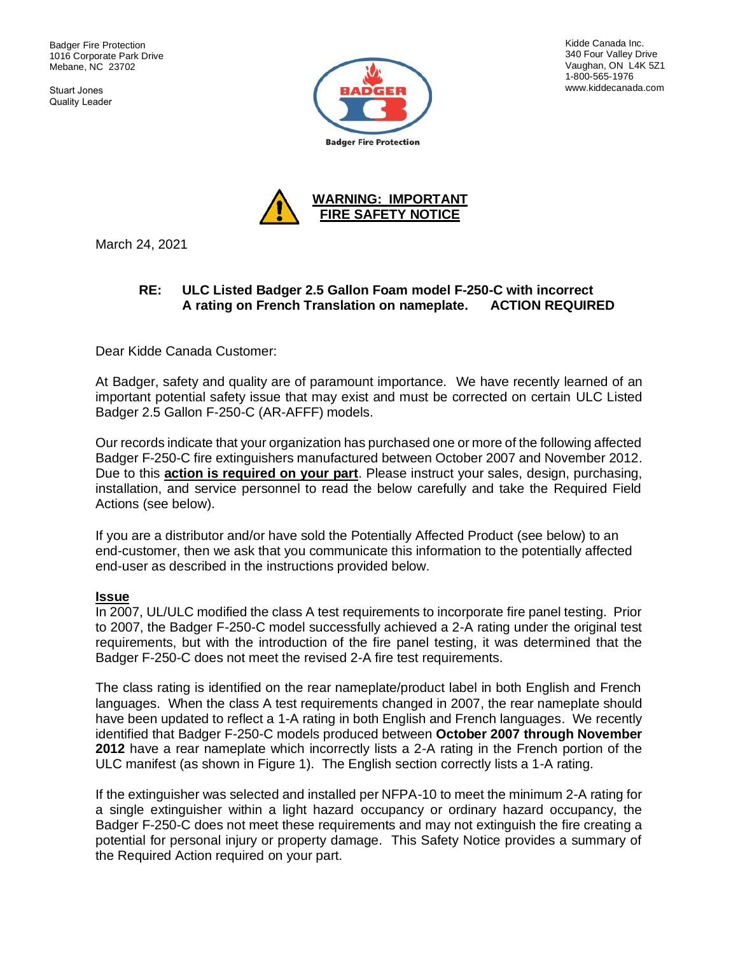Badger Fire Protection 1016 Corporate Park Drive Mebane, NC 23702

Stuart Jones Quality Leader



Kidde Canada Inc. 340 Four Valley Drive Vaughan, ON L4K 5Z1 1-800-565-1976 www.kiddecanada.com



March 24, 2021

## **RE: ULC Listed Badger 2.5 Gallon Foam model F-250-C with incorrect A rating on French Translation on nameplate. ACTION REQUIRED**

Dear Kidde Canada Customer:

At Badger, safety and quality are of paramount importance. We have recently learned of an important potential safety issue that may exist and must be corrected on certain ULC Listed Badger 2.5 Gallon F-250-C (AR-AFFF) models.

Our records indicate that your organization has purchased one or more of the following affected Badger F-250-C fire extinguishers manufactured between October 2007 and November 2012. Due to this **action is required on your part**. Please instruct your sales, design, purchasing, installation, and service personnel to read the below carefully and take the Required Field Actions (see below).

If you are a distributor and/or have sold the Potentially Affected Product (see below) to an end-customer, then we ask that you communicate this information to the potentially affected end-user as described in the instructions provided below.

#### **Issue**

In 2007, UL/ULC modified the class A test requirements to incorporate fire panel testing. Prior to 2007, the Badger F-250-C model successfully achieved a 2-A rating under the original test requirements, but with the introduction of the fire panel testing, it was determined that the Badger F-250-C does not meet the revised 2-A fire test requirements.

The class rating is identified on the rear nameplate/product label in both English and French languages. When the class A test requirements changed in 2007, the rear nameplate should have been updated to reflect a 1-A rating in both English and French languages. We recently identified that Badger F-250-C models produced between **October 2007 through November 2012** have a rear nameplate which incorrectly lists a 2-A rating in the French portion of the ULC manifest (as shown in Figure 1). The English section correctly lists a 1-A rating.

If the extinguisher was selected and installed per NFPA-10 to meet the minimum 2-A rating for a single extinguisher within a light hazard occupancy or ordinary hazard occupancy, the Badger F-250-C does not meet these requirements and may not extinguish the fire creating a potential for personal injury or property damage. This Safety Notice provides a summary of the Required Action required on your part.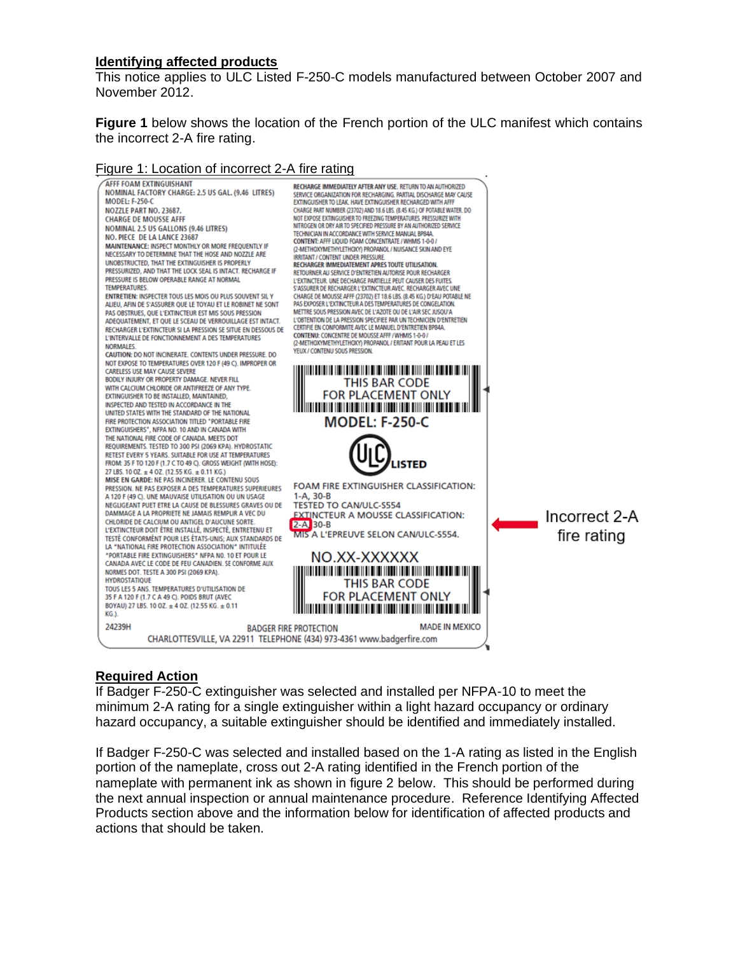#### **Identifying affected products**

This notice applies to ULC Listed F-250-C models manufactured between October 2007 and November 2012.

**Figure 1** below shows the location of the French portion of the ULC manifest which contains the incorrect 2-A fire rating.

#### Figure 1: Location of incorrect 2-A fire rating



### **Required Action**

If Badger F-250-C extinguisher was selected and installed per NFPA-10 to meet the minimum 2-A rating for a single extinguisher within a light hazard occupancy or ordinary hazard occupancy, a suitable extinguisher should be identified and immediately installed.

If Badger F-250-C was selected and installed based on the 1-A rating as listed in the English portion of the nameplate, cross out 2-A rating identified in the French portion of the nameplate with permanent ink as shown in figure 2 below. This should be performed during the next annual inspection or annual maintenance procedure. Reference Identifying Affected Products section above and the information below for identification of affected products and actions that should be taken.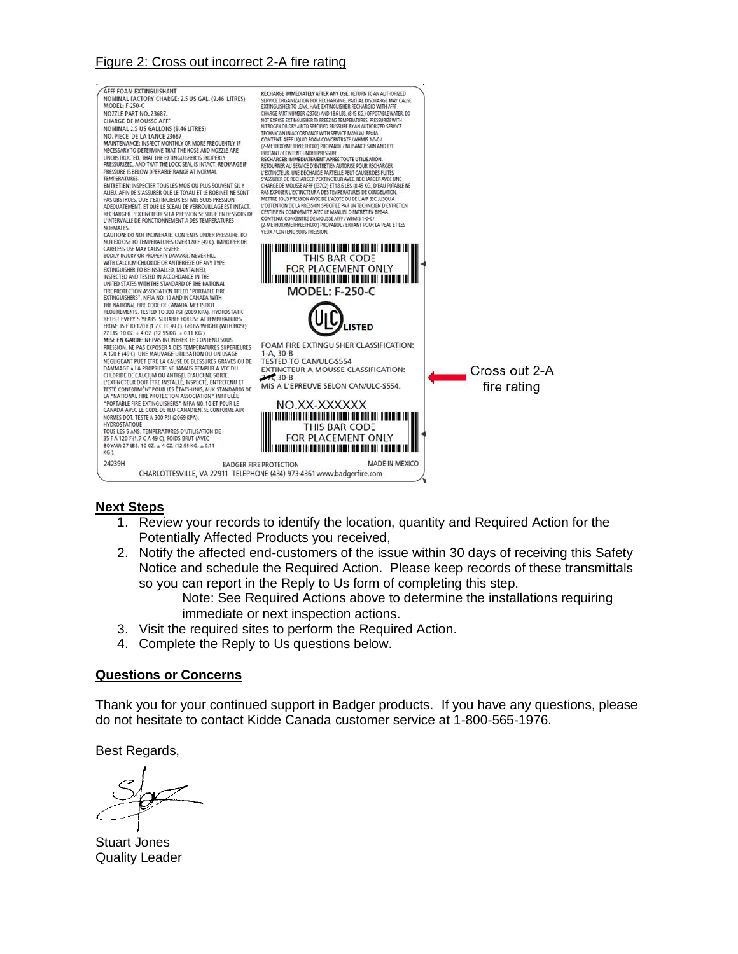# Figure 2: Cross out incorrect 2-A fire rating



#### **Next Steps**

- 1. Review your records to identify the location, quantity and Required Action for the Potentially Affected Products you received,
- 2. Notify the affected end-customers of the issue within 30 days of receiving this Safety Notice and schedule the Required Action. Please keep records of these transmittals so you can report in the Reply to Us form of completing this step.

Note: See Required Actions above to determine the installations requiring immediate or next inspection actions.

- 3. Visit the required sites to perform the Required Action.
- 4. Complete the Reply to Us questions below.

#### **Questions or Concerns**

Thank you for your continued support in Badger products. If you have any questions, please do not hesitate to contact Kidde Canada customer service at 1-800-565-1976.

Best Regards,

Stuart Jones Quality Leader